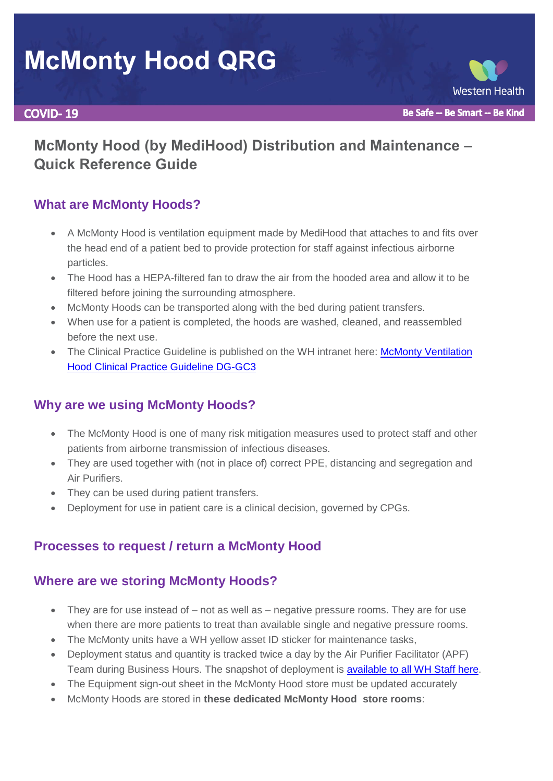# **McMonty Hood QRG**

#### **COVID-19**

## **McMonty Hood (by MediHood) Distribution and Maintenance – Quick Reference Guide**

## **What are McMonty Hoods?**

- A McMonty Hood is ventilation equipment made by MediHood that attaches to and fits over the head end of a patient bed to provide protection for staff against infectious airborne particles.
- The Hood has a HEPA-filtered fan to draw the air from the hooded area and allow it to be filtered before joining the surrounding atmosphere.
- McMonty Hoods can be transported along with the bed during patient transfers.
- When use for a patient is completed, the hoods are washed, cleaned, and reassembled before the next use.
- The Clinical Practice Guideline is published on the WH intranet here: McMonty Ventilation [Hood Clinical Practice Guideline DG-GC3](http://inside.wh.org.au/policies-procedures-forms/_layouts/WordViewer.aspx?id=/policies-procedures-forms/WHDocuments/McMonty%20Ventilation%20Hood.doc&DefaultItemOpen=1)

### **Why are we using McMonty Hoods?**

- The McMonty Hood is one of many risk mitigation measures used to protect staff and other patients from airborne transmission of infectious diseases.
- They are used together with (not in place of) correct PPE, distancing and segregation and Air Purifiers.
- They can be used during patient transfers.
- Deployment for use in patient care is a clinical decision, governed by CPGs.

## **Processes to request / return a McMonty Hood**

### **Where are we storing McMonty Hoods?**

- They are for use instead of not as well as negative pressure rooms. They are for use when there are more patients to treat than available single and negative pressure rooms.
- The McMonty units have a WH yellow asset ID sticker for maintenance tasks,
- Deployment status and quantity is tracked twice a day by the Air Purifier Facilitator (APF) Team during Business Hours. The snapshot of deployment is [available to all WH Staff here.](http://inside.wh.org.au/departmentsandservices/Engineering-Services/5%20Crossfunctional%20Document%20sharing/Forms/AllItems.aspx?RootFolder=%2Fdepartmentsandservices%2FEngineering%2DServices%2F5%20Crossfunctional%20Document%20sharing%2FAIR%20PURIFIERS&FolderCTID=0x012000C65F9DA920D3DE4FBDC54EA68194153C&View=%7bCADACEBD-6550-46B0-B14B-B183406A968B%7d)
- The Equipment sign-out sheet in the McMonty Hood store must be updated accurately
- McMonty Hoods are stored in **these dedicated McMonty Hood store rooms**: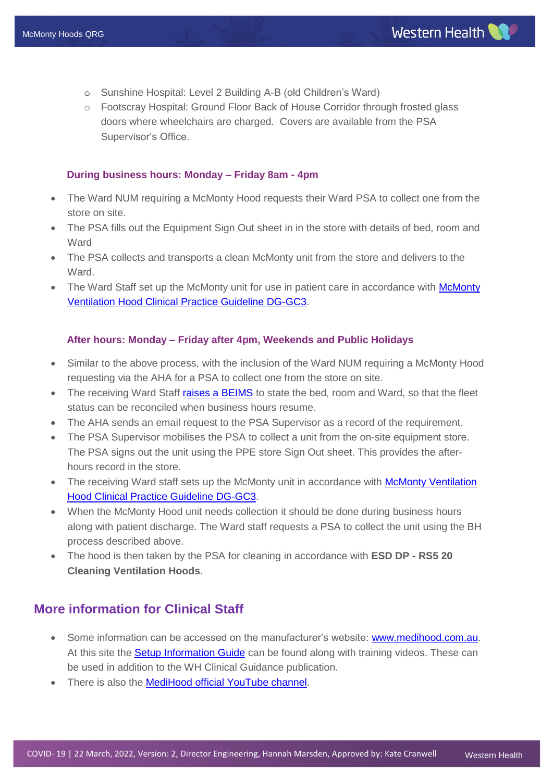- o Sunshine Hospital: Level 2 Building A-B (old Children's Ward)
- o Footscray Hospital: Ground Floor Back of House Corridor through frosted glass doors where wheelchairs are charged. Covers are available from the PSA Supervisor's Office.

#### **During business hours: Monday – Friday 8am - 4pm**

- The Ward NUM requiring a McMonty Hood requests their Ward PSA to collect one from the store on site.
- The PSA fills out the Equipment Sign Out sheet in in the store with details of bed, room and **Ward**
- The PSA collects and transports a clean McMonty unit from the store and delivers to the Ward.
- The Ward Staff set up the [McMonty](http://inside.wh.org.au/policies-procedures-forms/_layouts/WordViewer.aspx?id=/policies-procedures-forms/WHDocuments/McMonty%20Ventilation%20Hood.doc&DefaultItemOpen=1) unit for use in patient care in accordance with McMonty [Ventilation Hood Clinical Practice Guideline DG-GC3.](http://inside.wh.org.au/policies-procedures-forms/_layouts/WordViewer.aspx?id=/policies-procedures-forms/WHDocuments/McMonty%20Ventilation%20Hood.doc&DefaultItemOpen=1)

#### **After hours: Monday – Friday after 4pm, Weekends and Public Holidays**

- Similar to the above process, with the inclusion of the Ward NUM requiring a McMonty Hood requesting via the AHA for a PSA to collect one from the store on site.
- The receiving Ward Staff [raises a BEIMS](http://beims.wh.org.au/beimsweb2/Default.asp?username=MARSDEH&from=login.asp) to state the bed, room and Ward, so that the fleet status can be reconciled when business hours resume.
- The AHA sends an email request to the PSA Supervisor as a record of the requirement.
- The PSA Supervisor mobilises the PSA to collect a unit from the on-site equipment store. The PSA signs out the unit using the PPE store Sign Out sheet. This provides the afterhours record in the store.
- The receiving Ward staff sets up the McMonty unit in accordance with McMonty Ventilation [Hood Clinical Practice Guideline DG-GC3.](http://inside.wh.org.au/policies-procedures-forms/_layouts/WordViewer.aspx?id=/policies-procedures-forms/WHDocuments/McMonty%20Ventilation%20Hood.doc&DefaultItemOpen=1)
- When the McMonty Hood unit needs collection it should be done during business hours along with patient discharge. The Ward staff requests a PSA to collect the unit using the BH process described above.
- The hood is then taken by the PSA for cleaning in accordance with **ESD DP - RS5 20 Cleaning Ventilation Hoods**.

#### **More information for Clinical Staff**

- Some information can be accessed on the manufacturer's website: [www.medihood.com.au.](http://www.medihood.com.au/) At this site the [Setup Information Guide](https://medihood.com.au/mcmonty-hospital-patient-hood-information/how-to-set-up-the-mcmonty-by-medihood/) can be found along with training videos. These can be used in addition to the WH Clinical Guidance publication.
- There is also the [MediHood official YouTube channel.](https://www.youtube.com/channel/UClfkEYeVB2xdi4qEp_D6Izg/videos)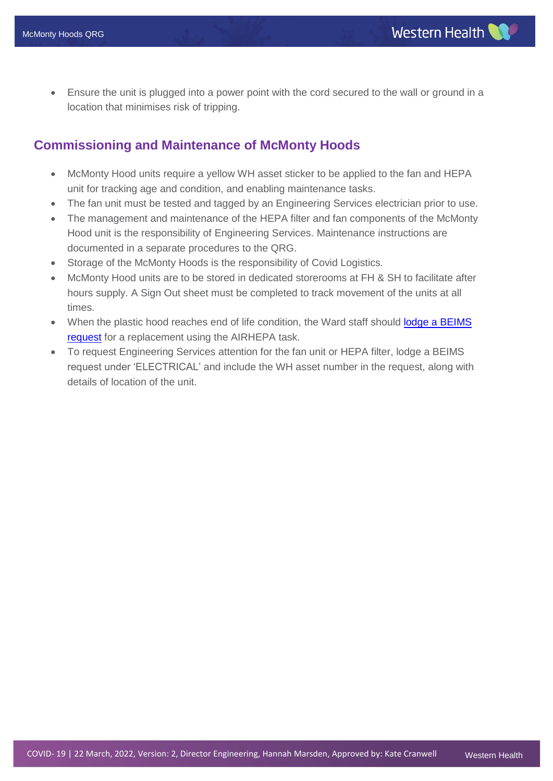Ensure the unit is plugged into a power point with the cord secured to the wall or ground in a location that minimises risk of tripping.

#### **Commissioning and Maintenance of McMonty Hoods**

- McMonty Hood units require a yellow WH asset sticker to be applied to the fan and HEPA unit for tracking age and condition, and enabling maintenance tasks.
- The fan unit must be tested and tagged by an Engineering Services electrician prior to use.
- The management and maintenance of the HEPA filter and fan components of the McMonty Hood unit is the responsibility of Engineering Services. Maintenance instructions are documented in a separate procedures to the QRG.
- Storage of the McMonty Hoods is the responsibility of Covid Logistics.
- McMonty Hood units are to be stored in dedicated storerooms at FH & SH to facilitate after hours supply. A Sign Out sheet must be completed to track movement of the units at all times.
- When the plastic hood reaches end of life condition, the Ward staff should lodge a BEIMS [request](http://beims.wh.org.au/beimsweb2/Default.asp?username=MARSDEH&from=login.asp) for a replacement using the AIRHEPA task.
- To request Engineering Services attention for the fan unit or HEPA filter, lodge a BEIMS request under 'ELECTRICAL' and include the WH asset number in the request, along with details of location of the unit.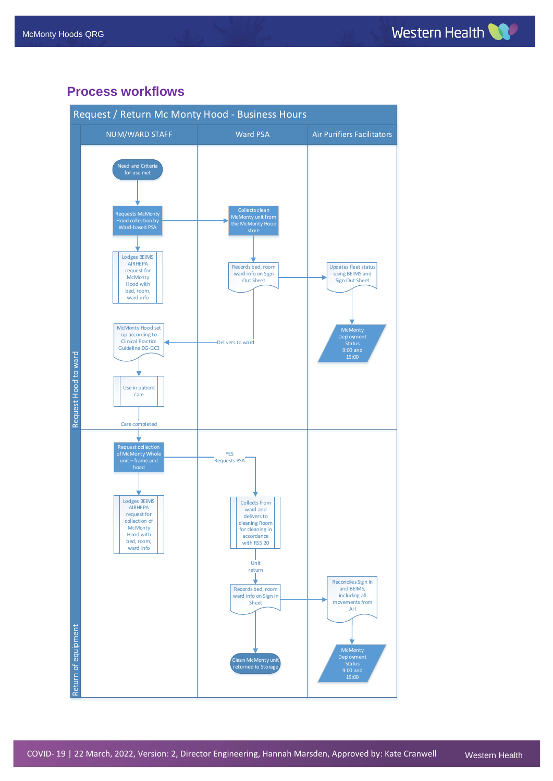#### **Process workflows**